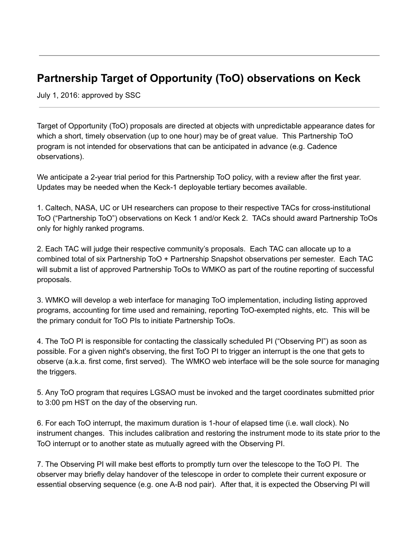## **Partnership Target of Opportunity (ToO) observations on Keck**

July 1, 2016: approved by SSC

Target of Opportunity (ToO) proposals are directed at objects with unpredictable appearance dates for which a short, timely observation (up to one hour) may be of great value. This Partnership ToO program is not intended for observations that can be anticipated in advance (e.g. Cadence observations).

We anticipate a 2-year trial period for this Partnership ToO policy, with a review after the first year. Updates may be needed when the Keck-1 deployable tertiary becomes available.

1. Caltech, NASA, UC or UH researchers can propose to their respective TACs for cross-institutional ToO ("Partnership ToO") observations on Keck 1 and/or Keck 2. TACs should award Partnership ToOs only for highly ranked programs.

2. Each TAC will judge their respective community's proposals. Each TAC can allocate up to a combined total of six Partnership ToO + Partnership Snapshot observations per semester. Each TAC will submit a list of approved Partnership ToOs to WMKO as part of the routine reporting of successful proposals.

3. WMKO will develop a web interface for managing ToO implementation, including listing approved programs, accounting for time used and remaining, reporting ToO-exempted nights, etc. This will be the primary conduit for ToO PIs to initiate Partnership ToOs.

4. The ToO PI is responsible for contacting the classically scheduled PI ("Observing PI") as soon as possible. For a given night's observing, the first ToO PI to trigger an interrupt is the one that gets to observe (a.k.a. first come, first served). The WMKO web interface will be the sole source for managing the triggers.

5. Any ToO program that requires LGSAO must be invoked and the target coordinates submitted prior to 3:00 pm HST on the day of the observing run.

6. For each ToO interrupt, the maximum duration is 1hour of elapsed time (i.e. wall clock). No instrument changes. This includes calibration and restoring the instrument mode to its state prior to the ToO interrupt or to another state as mutually agreed with the Observing PI.

7. The Observing PI will make best efforts to promptly turn over the telescope to the ToO PI. The observer may briefly delay handover of the telescope in order to complete their current exposure or essential observing sequence (e.g. one A-B nod pair). After that, it is expected the Observing PI will